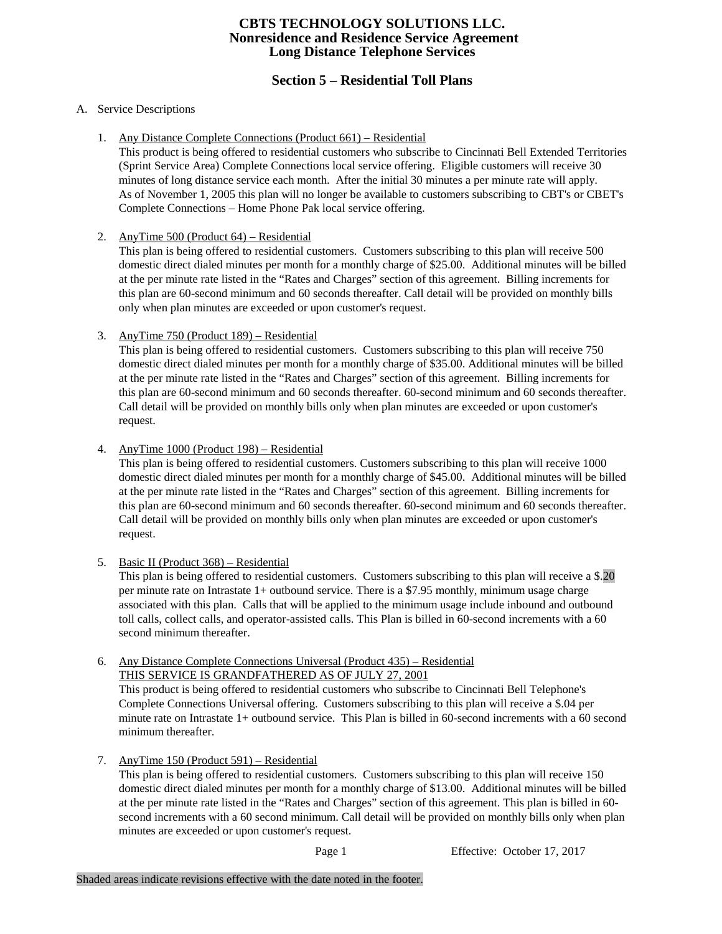# **Section 5 – Residential Toll Plans**

#### A. Service Descriptions

1. Any Distance Complete Connections (Product 661) – Residential

This product is being offered to residential customers who subscribe to Cincinnati Bell Extended Territories (Sprint Service Area) Complete Connections local service offering. Eligible customers will receive 30 minutes of long distance service each month. After the initial 30 minutes a per minute rate will apply. As of November 1, 2005 this plan will no longer be available to customers subscribing to CBT's or CBET's Complete Connections – Home Phone Pak local service offering.

2. AnyTime 500 (Product 64) – Residential

This plan is being offered to residential customers. Customers subscribing to this plan will receive 500 domestic direct dialed minutes per month for a monthly charge of \$25.00. Additional minutes will be billed at the per minute rate listed in the "Rates and Charges" section of this agreement. Billing increments for this plan are 60-second minimum and 60 seconds thereafter. Call detail will be provided on monthly bills only when plan minutes are exceeded or upon customer's request.

3. AnyTime 750 (Product 189) – Residential

This plan is being offered to residential customers. Customers subscribing to this plan will receive 750 domestic direct dialed minutes per month for a monthly charge of \$35.00. Additional minutes will be billed at the per minute rate listed in the "Rates and Charges" section of this agreement. Billing increments for this plan are 60-second minimum and 60 seconds thereafter. 60-second minimum and 60 seconds thereafter. Call detail will be provided on monthly bills only when plan minutes are exceeded or upon customer's request.

4. AnyTime 1000 (Product 198) – Residential

This plan is being offered to residential customers. Customers subscribing to this plan will receive 1000 domestic direct dialed minutes per month for a monthly charge of \$45.00. Additional minutes will be billed at the per minute rate listed in the "Rates and Charges" section of this agreement. Billing increments for this plan are 60-second minimum and 60 seconds thereafter. 60-second minimum and 60 seconds thereafter. Call detail will be provided on monthly bills only when plan minutes are exceeded or upon customer's request.

5. Basic II (Product 368) – Residential

This plan is being offered to residential customers. Customers subscribing to this plan will receive a \$.20 per minute rate on Intrastate 1+ outbound service. There is a \$7.95 monthly, minimum usage charge associated with this plan. Calls that will be applied to the minimum usage include inbound and outbound toll calls, collect calls, and operator-assisted calls. This Plan is billed in 60-second increments with a 60 second minimum thereafter.

6. Any Distance Complete Connections Universal (Product 435) – Residential THIS SERVICE IS GRANDFATHERED AS OF JULY 27, 2001

This product is being offered to residential customers who subscribe to Cincinnati Bell Telephone's Complete Connections Universal offering. Customers subscribing to this plan will receive a \$.04 per minute rate on Intrastate 1+ outbound service. This Plan is billed in 60-second increments with a 60 second minimum thereafter.

7. AnyTime 150 (Product 591) – Residential

This plan is being offered to residential customers. Customers subscribing to this plan will receive 150 domestic direct dialed minutes per month for a monthly charge of \$13.00. Additional minutes will be billed at the per minute rate listed in the "Rates and Charges" section of this agreement. This plan is billed in 60 second increments with a 60 second minimum. Call detail will be provided on monthly bills only when plan minutes are exceeded or upon customer's request.

Page 1 Effective: October 17, 2017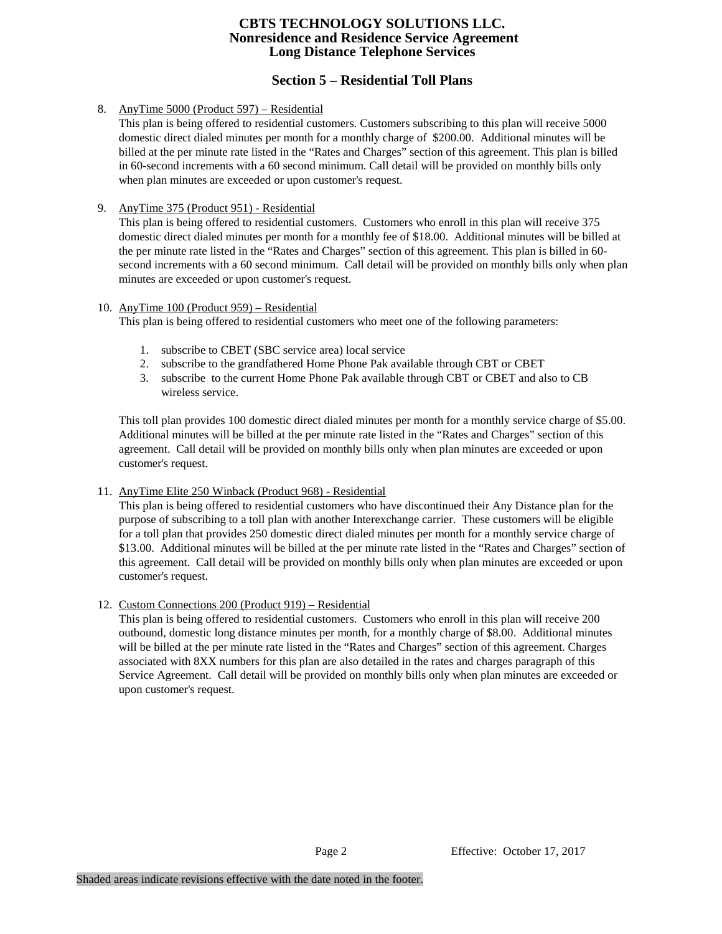# **Section 5 – Residential Toll Plans**

#### 8. AnyTime 5000 (Product 597) – Residential

This plan is being offered to residential customers. Customers subscribing to this plan will receive 5000 domestic direct dialed minutes per month for a monthly charge of \$200.00. Additional minutes will be billed at the per minute rate listed in the "Rates and Charges" section of this agreement. This plan is billed in 60-second increments with a 60 second minimum. Call detail will be provided on monthly bills only when plan minutes are exceeded or upon customer's request.

#### 9. AnyTime 375 (Product 951) - Residential

This plan is being offered to residential customers. Customers who enroll in this plan will receive 375 domestic direct dialed minutes per month for a monthly fee of \$18.00. Additional minutes will be billed at the per minute rate listed in the "Rates and Charges" section of this agreement. This plan is billed in 60 second increments with a 60 second minimum. Call detail will be provided on monthly bills only when plan minutes are exceeded or upon customer's request.

#### 10. AnyTime 100 (Product 959) – Residential

This plan is being offered to residential customers who meet one of the following parameters:

- 1. subscribe to CBET (SBC service area) local service
- 2. subscribe to the grandfathered Home Phone Pak available through CBT or CBET
- 3. subscribe to the current Home Phone Pak available through CBT or CBET and also to CB wireless service.

This toll plan provides 100 domestic direct dialed minutes per month for a monthly service charge of \$5.00. Additional minutes will be billed at the per minute rate listed in the "Rates and Charges" section of this agreement. Call detail will be provided on monthly bills only when plan minutes are exceeded or upon customer's request.

### 11. AnyTime Elite 250 Winback (Product 968) - Residential

This plan is being offered to residential customers who have discontinued their Any Distance plan for the purpose of subscribing to a toll plan with another Interexchange carrier. These customers will be eligible for a toll plan that provides 250 domestic direct dialed minutes per month for a monthly service charge of \$13.00. Additional minutes will be billed at the per minute rate listed in the "Rates and Charges" section of this agreement. Call detail will be provided on monthly bills only when plan minutes are exceeded or upon customer's request.

### 12. Custom Connections 200 (Product 919) – Residential

This plan is being offered to residential customers. Customers who enroll in this plan will receive 200 outbound, domestic long distance minutes per month, for a monthly charge of \$8.00. Additional minutes will be billed at the per minute rate listed in the "Rates and Charges" section of this agreement. Charges associated with 8XX numbers for this plan are also detailed in the rates and charges paragraph of this Service Agreement. Call detail will be provided on monthly bills only when plan minutes are exceeded or upon customer's request.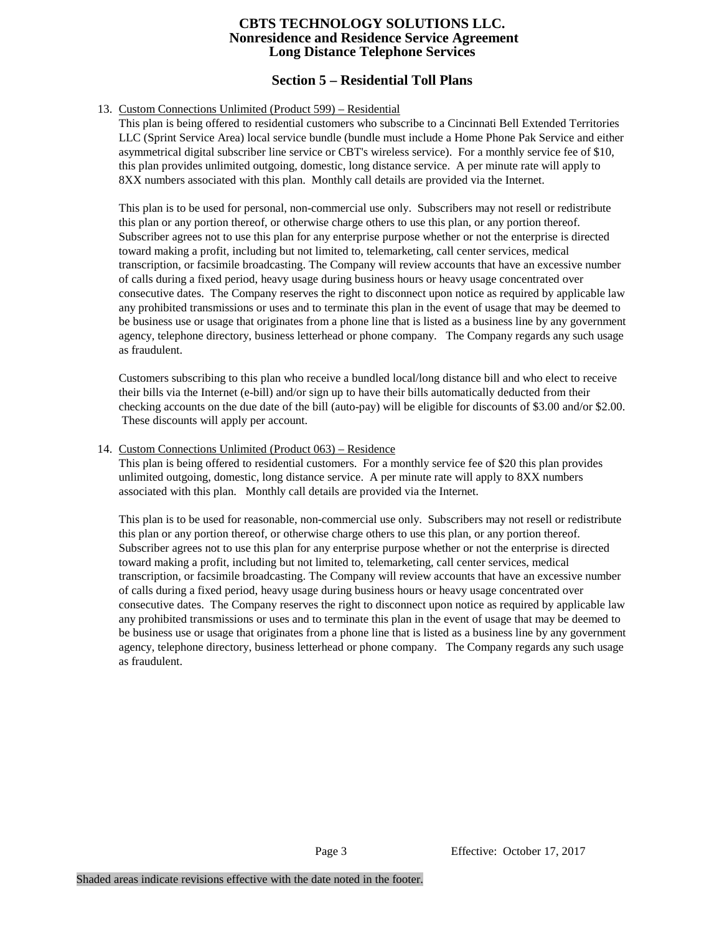# **Section 5 – Residential Toll Plans**

#### 13. Custom Connections Unlimited (Product 599) – Residential

This plan is being offered to residential customers who subscribe to a Cincinnati Bell Extended Territories LLC (Sprint Service Area) local service bundle (bundle must include a Home Phone Pak Service and either asymmetrical digital subscriber line service or CBT's wireless service). For a monthly service fee of \$10, this plan provides unlimited outgoing, domestic, long distance service. A per minute rate will apply to 8XX numbers associated with this plan. Monthly call details are provided via the Internet.

This plan is to be used for personal, non-commercial use only. Subscribers may not resell or redistribute this plan or any portion thereof, or otherwise charge others to use this plan, or any portion thereof. Subscriber agrees not to use this plan for any enterprise purpose whether or not the enterprise is directed toward making a profit, including but not limited to, telemarketing, call center services, medical transcription, or facsimile broadcasting. The Company will review accounts that have an excessive number of calls during a fixed period, heavy usage during business hours or heavy usage concentrated over consecutive dates. The Company reserves the right to disconnect upon notice as required by applicable law any prohibited transmissions or uses and to terminate this plan in the event of usage that may be deemed to be business use or usage that originates from a phone line that is listed as a business line by any government agency, telephone directory, business letterhead or phone company. The Company regards any such usage as fraudulent.

Customers subscribing to this plan who receive a bundled local/long distance bill and who elect to receive their bills via the Internet (e-bill) and/or sign up to have their bills automatically deducted from their checking accounts on the due date of the bill (auto-pay) will be eligible for discounts of \$3.00 and/or \$2.00. These discounts will apply per account.

#### 14. Custom Connections Unlimited (Product 063) – Residence

This plan is being offered to residential customers. For a monthly service fee of \$20 this plan provides unlimited outgoing, domestic, long distance service. A per minute rate will apply to 8XX numbers associated with this plan. Monthly call details are provided via the Internet.

This plan is to be used for reasonable, non-commercial use only. Subscribers may not resell or redistribute this plan or any portion thereof, or otherwise charge others to use this plan, or any portion thereof. Subscriber agrees not to use this plan for any enterprise purpose whether or not the enterprise is directed toward making a profit, including but not limited to, telemarketing, call center services, medical transcription, or facsimile broadcasting. The Company will review accounts that have an excessive number of calls during a fixed period, heavy usage during business hours or heavy usage concentrated over consecutive dates. The Company reserves the right to disconnect upon notice as required by applicable law any prohibited transmissions or uses and to terminate this plan in the event of usage that may be deemed to be business use or usage that originates from a phone line that is listed as a business line by any government agency, telephone directory, business letterhead or phone company. The Company regards any such usage as fraudulent.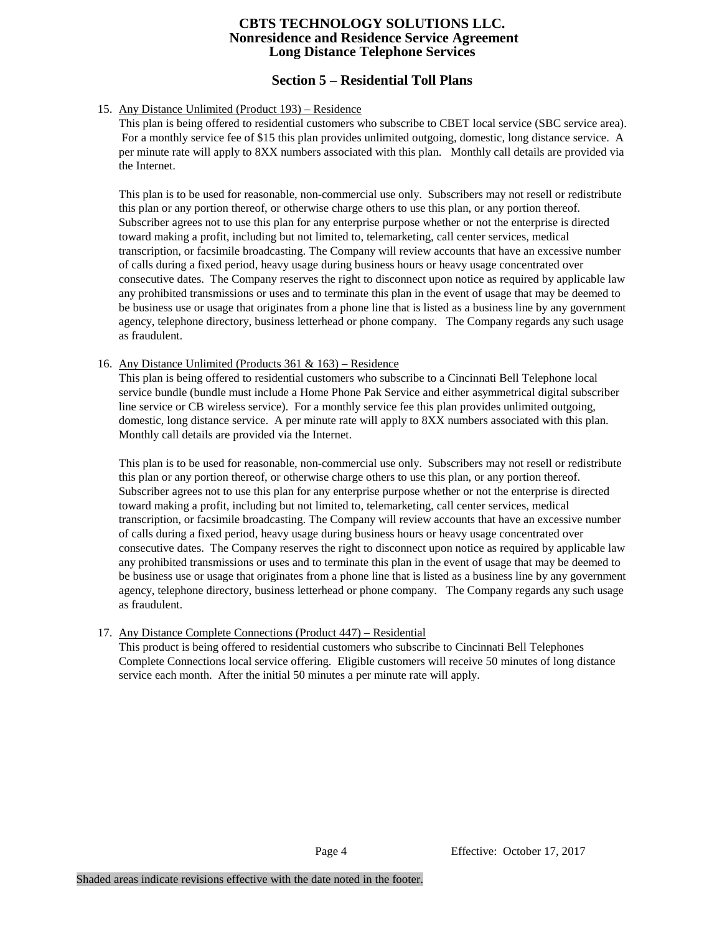# **Section 5 – Residential Toll Plans**

#### 15. Any Distance Unlimited (Product 193) – Residence

This plan is being offered to residential customers who subscribe to CBET local service (SBC service area). For a monthly service fee of \$15 this plan provides unlimited outgoing, domestic, long distance service. A per minute rate will apply to 8XX numbers associated with this plan. Monthly call details are provided via the Internet.

This plan is to be used for reasonable, non-commercial use only. Subscribers may not resell or redistribute this plan or any portion thereof, or otherwise charge others to use this plan, or any portion thereof. Subscriber agrees not to use this plan for any enterprise purpose whether or not the enterprise is directed toward making a profit, including but not limited to, telemarketing, call center services, medical transcription, or facsimile broadcasting. The Company will review accounts that have an excessive number of calls during a fixed period, heavy usage during business hours or heavy usage concentrated over consecutive dates. The Company reserves the right to disconnect upon notice as required by applicable law any prohibited transmissions or uses and to terminate this plan in the event of usage that may be deemed to be business use or usage that originates from a phone line that is listed as a business line by any government agency, telephone directory, business letterhead or phone company. The Company regards any such usage as fraudulent.

#### 16. Any Distance Unlimited (Products 361 & 163) – Residence

This plan is being offered to residential customers who subscribe to a Cincinnati Bell Telephone local service bundle (bundle must include a Home Phone Pak Service and either asymmetrical digital subscriber line service or CB wireless service). For a monthly service fee this plan provides unlimited outgoing, domestic, long distance service. A per minute rate will apply to 8XX numbers associated with this plan. Monthly call details are provided via the Internet.

This plan is to be used for reasonable, non-commercial use only. Subscribers may not resell or redistribute this plan or any portion thereof, or otherwise charge others to use this plan, or any portion thereof. Subscriber agrees not to use this plan for any enterprise purpose whether or not the enterprise is directed toward making a profit, including but not limited to, telemarketing, call center services, medical transcription, or facsimile broadcasting. The Company will review accounts that have an excessive number of calls during a fixed period, heavy usage during business hours or heavy usage concentrated over consecutive dates. The Company reserves the right to disconnect upon notice as required by applicable law any prohibited transmissions or uses and to terminate this plan in the event of usage that may be deemed to be business use or usage that originates from a phone line that is listed as a business line by any government agency, telephone directory, business letterhead or phone company. The Company regards any such usage as fraudulent.

### 17. Any Distance Complete Connections (Product 447) – Residential

This product is being offered to residential customers who subscribe to Cincinnati Bell Telephones Complete Connections local service offering. Eligible customers will receive 50 minutes of long distance service each month. After the initial 50 minutes a per minute rate will apply.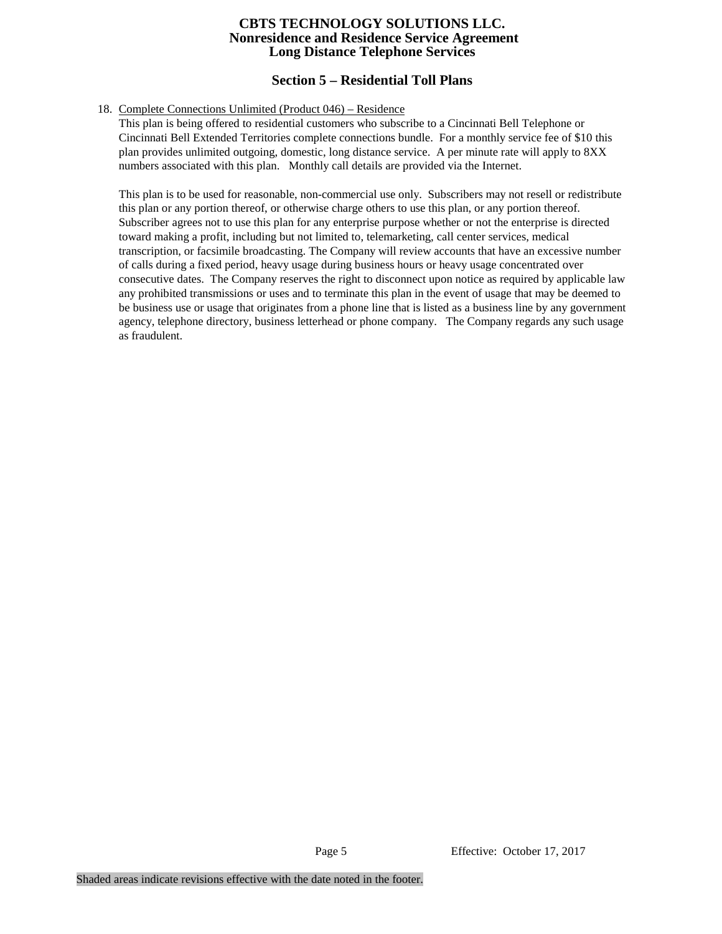# **Section 5 – Residential Toll Plans**

#### 18. Complete Connections Unlimited (Product 046) – Residence

This plan is being offered to residential customers who subscribe to a Cincinnati Bell Telephone or Cincinnati Bell Extended Territories complete connections bundle. For a monthly service fee of \$10 this plan provides unlimited outgoing, domestic, long distance service. A per minute rate will apply to 8XX numbers associated with this plan. Monthly call details are provided via the Internet.

This plan is to be used for reasonable, non-commercial use only. Subscribers may not resell or redistribute this plan or any portion thereof, or otherwise charge others to use this plan, or any portion thereof. Subscriber agrees not to use this plan for any enterprise purpose whether or not the enterprise is directed toward making a profit, including but not limited to, telemarketing, call center services, medical transcription, or facsimile broadcasting. The Company will review accounts that have an excessive number of calls during a fixed period, heavy usage during business hours or heavy usage concentrated over consecutive dates. The Company reserves the right to disconnect upon notice as required by applicable law any prohibited transmissions or uses and to terminate this plan in the event of usage that may be deemed to be business use or usage that originates from a phone line that is listed as a business line by any government agency, telephone directory, business letterhead or phone company. The Company regards any such usage as fraudulent.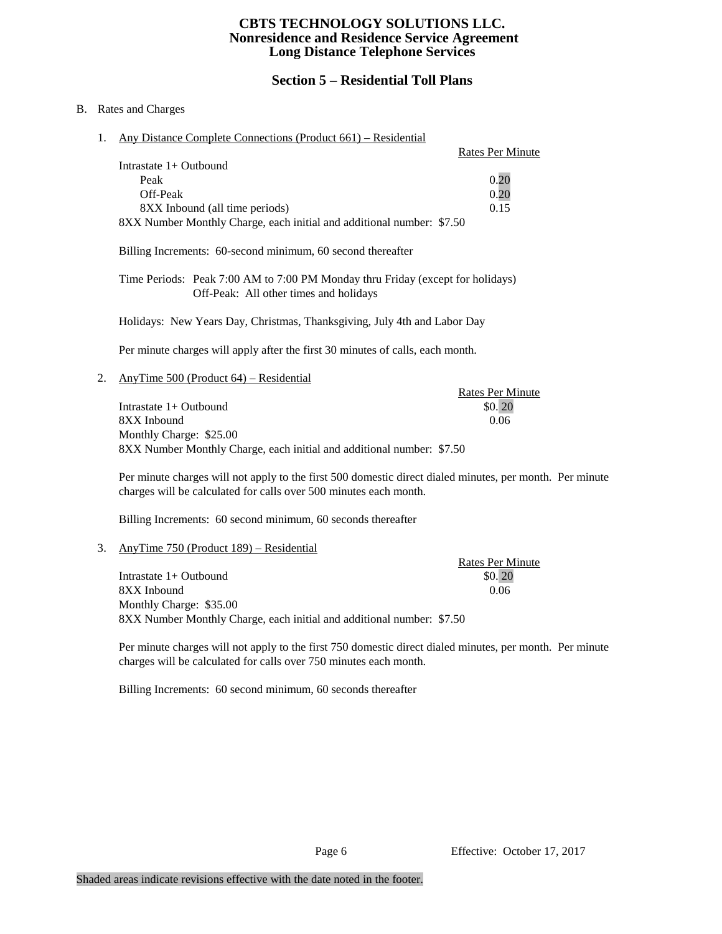# **Section 5 – Residential Toll Plans**

#### B. Rates and Charges

1. Any Distance Complete Connections (Product 661) – Residential

|                                                                       | <b>Rates Per Minute</b> |
|-----------------------------------------------------------------------|-------------------------|
| Intrastate $1+$ Outbound                                              |                         |
| Peak                                                                  | 0.20                    |
| Off-Peak                                                              | 0.20                    |
| 8XX Inbound (all time periods)                                        | 0.15                    |
| 8XX Number Monthly Charge, each initial and additional number: \$7.50 |                         |

Billing Increments: 60-second minimum, 60 second thereafter

Time Periods: Peak 7:00 AM to 7:00 PM Monday thru Friday (except for holidays) Off-Peak: All other times and holidays

Holidays: New Years Day, Christmas, Thanksgiving, July 4th and Labor Day

Per minute charges will apply after the first 30 minutes of calls, each month.

2. AnyTime 500 (Product 64) – Residential

Rates Per Minute Intrastate  $1+$  Outbound  $$0.20$ 8XX Inbound 0.06 Monthly Charge: \$25.00 8XX Number Monthly Charge, each initial and additional number: \$7.50

Per minute charges will not apply to the first 500 domestic direct dialed minutes, per month. Per minute charges will be calculated for calls over 500 minutes each month.

Billing Increments: 60 second minimum, 60 seconds thereafter

#### 3. AnyTime 750 (Product 189) – Residential

Rates Per Minute  $Intractate 1+ Outbound$  \$0. 20 8XX Inbound 0.06 Monthly Charge: \$35.00 8XX Number Monthly Charge, each initial and additional number: \$7.50

Per minute charges will not apply to the first 750 domestic direct dialed minutes, per month. Per minute charges will be calculated for calls over 750 minutes each month.

Billing Increments: 60 second minimum, 60 seconds thereafter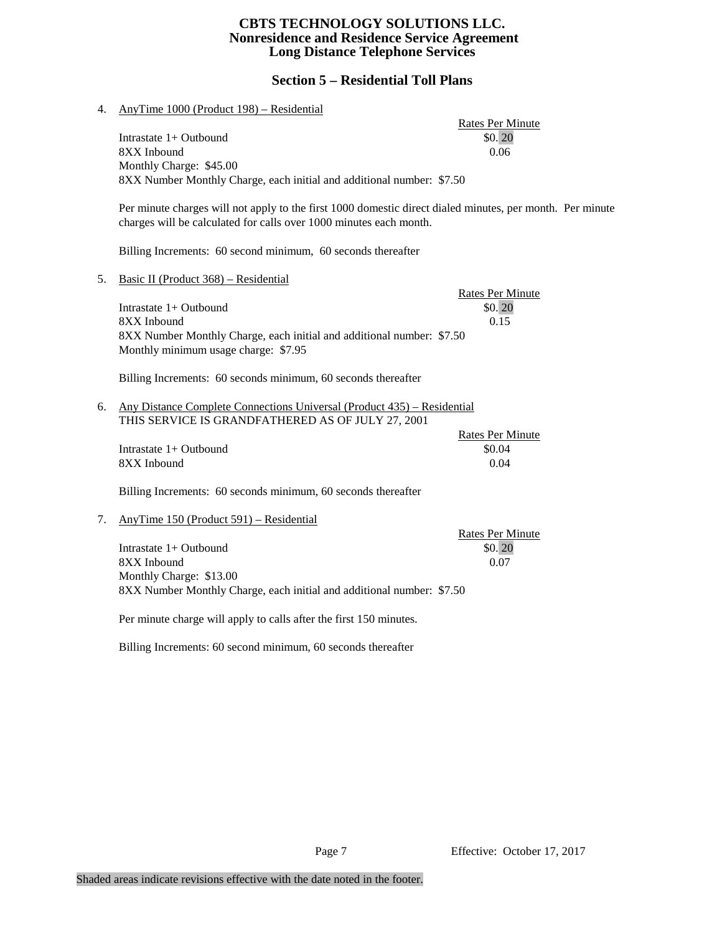# **Section 5 – Residential Toll Plans**

| 4. | AnyTime 1000 (Product 198) – Residential                                                                                                                                                                                                                 |                                           |
|----|----------------------------------------------------------------------------------------------------------------------------------------------------------------------------------------------------------------------------------------------------------|-------------------------------------------|
|    | Intrastate 1+ Outbound<br>8XX Inbound<br>Monthly Charge: \$45.00                                                                                                                                                                                         | <b>Rates Per Minute</b><br>\$0.20<br>0.06 |
|    | 8XX Number Monthly Charge, each initial and additional number: \$7.50<br>Per minute charges will not apply to the first 1000 domestic direct dialed minutes, per month. Per minute<br>charges will be calculated for calls over 1000 minutes each month. |                                           |
|    | Billing Increments: 60 second minimum, 60 seconds thereafter                                                                                                                                                                                             |                                           |
| 5. | Basic II (Product 368) - Residential                                                                                                                                                                                                                     |                                           |
|    | Intrastate 1+ Outbound<br>8XX Inbound<br>8XX Number Monthly Charge, each initial and additional number: \$7.50<br>Monthly minimum usage charge: \$7.95                                                                                                   | <b>Rates Per Minute</b><br>\$0.20<br>0.15 |
|    | Billing Increments: 60 seconds minimum, 60 seconds thereafter                                                                                                                                                                                            |                                           |
| 6. | Any Distance Complete Connections Universal (Product 435) – Residential<br>THIS SERVICE IS GRANDFATHERED AS OF JULY 27, 2001                                                                                                                             |                                           |
|    | Intrastate 1+ Outbound<br>8XX Inbound                                                                                                                                                                                                                    | <b>Rates Per Minute</b><br>\$0.04<br>0.04 |
|    | Billing Increments: 60 seconds minimum, 60 seconds thereafter                                                                                                                                                                                            |                                           |
| 7. | AnyTime 150 (Product 591) – Residential                                                                                                                                                                                                                  | <b>Rates Per Minute</b>                   |
|    | Intrastate 1+ Outbound<br>8XX Inbound<br>Monthly Charge: \$13.00<br>8XX Number Monthly Charge, each initial and additional number: \$7.50                                                                                                                | \$0.20<br>0.07                            |
|    | Per minute charge will apply to calls after the first 150 minutes.                                                                                                                                                                                       |                                           |
|    | Billing Increments: 60 second minimum, 60 seconds thereafter                                                                                                                                                                                             |                                           |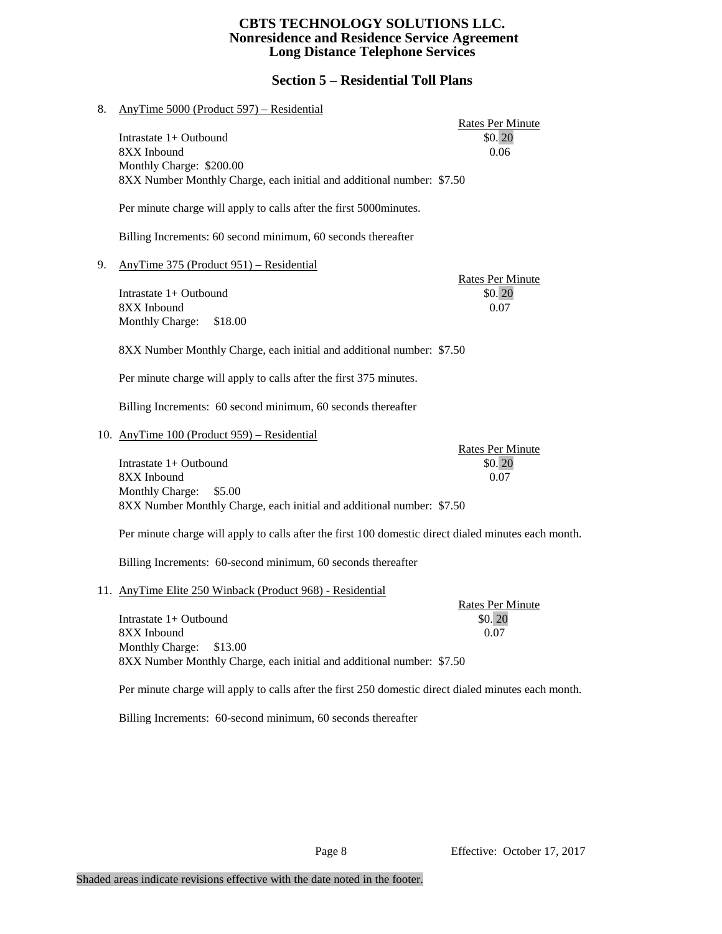# **Section 5 – Residential Toll Plans**

| 8. | AnyTime 5000 (Product 597) – Residential                                                             |                                   |
|----|------------------------------------------------------------------------------------------------------|-----------------------------------|
|    | Intrastate 1+ Outbound                                                                               | <b>Rates Per Minute</b><br>\$0.20 |
|    | 8XX Inbound                                                                                          | 0.06                              |
|    | Monthly Charge: \$200.00                                                                             |                                   |
|    | 8XX Number Monthly Charge, each initial and additional number: \$7.50                                |                                   |
|    |                                                                                                      |                                   |
|    | Per minute charge will apply to calls after the first 5000minutes.                                   |                                   |
|    | Billing Increments: 60 second minimum, 60 seconds thereafter                                         |                                   |
| 9. | AnyTime 375 (Product 951) – Residential                                                              |                                   |
|    |                                                                                                      | <b>Rates Per Minute</b>           |
|    | Intrastate 1+ Outbound                                                                               | \$0.20                            |
|    | 8XX Inbound                                                                                          | 0.07                              |
|    | Monthly Charge:<br>\$18.00                                                                           |                                   |
|    | 8XX Number Monthly Charge, each initial and additional number: \$7.50                                |                                   |
|    | Per minute charge will apply to calls after the first 375 minutes.                                   |                                   |
|    | Billing Increments: 60 second minimum, 60 seconds thereafter                                         |                                   |
|    | 10. AnyTime 100 (Product 959) - Residential                                                          |                                   |
|    |                                                                                                      | <b>Rates Per Minute</b>           |
|    | Intrastate 1+ Outbound                                                                               | \$0.20                            |
|    | 8XX Inbound                                                                                          | 0.07                              |
|    | Monthly Charge:<br>\$5.00                                                                            |                                   |
|    | 8XX Number Monthly Charge, each initial and additional number: \$7.50                                |                                   |
|    | Per minute charge will apply to calls after the first 100 domestic direct dialed minutes each month. |                                   |
|    | Billing Increments: 60-second minimum, 60 seconds thereafter                                         |                                   |
|    | 11. AnyTime Elite 250 Winback (Product 968) - Residential                                            |                                   |
|    |                                                                                                      | <b>Rates Per Minute</b>           |
|    | Intrastate 1+ Outbound                                                                               | \$0.20                            |
|    | 8XX Inbound                                                                                          | 0.07                              |
|    | Monthly Charge:<br>\$13.00                                                                           |                                   |
|    | 8XX Number Monthly Charge, each initial and additional number: \$7.50                                |                                   |
|    |                                                                                                      |                                   |

Per minute charge will apply to calls after the first 250 domestic direct dialed minutes each month.

Billing Increments: 60-second minimum, 60 seconds thereafter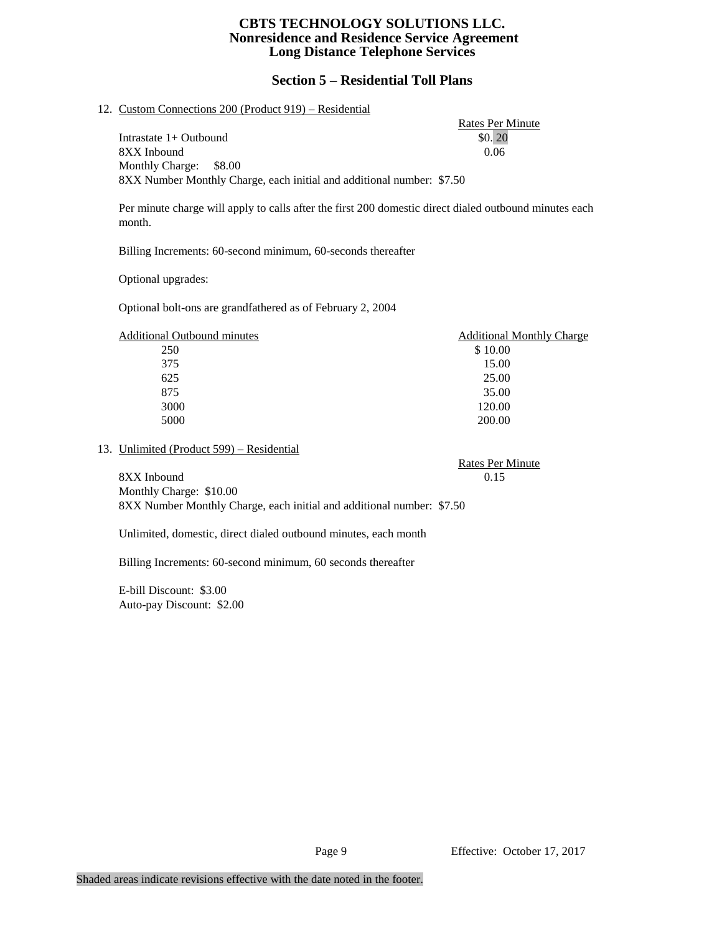# **Section 5 – Residential Toll Plans**

Rates Per Minute

#### 12. Custom Connections 200 (Product 919) – Residential

Intrastate  $1+$  Outbound  $$0.20$ 8XX Inbound 0.06 Monthly Charge: \$8.00 8XX Number Monthly Charge, each initial and additional number: \$7.50

Per minute charge will apply to calls after the first 200 domestic direct dialed outbound minutes each month.

Billing Increments: 60-second minimum, 60-seconds thereafter

Optional upgrades:

Optional bolt-ons are grandfathered as of February 2, 2004

| <b>Additional Outbound minutes</b> | <b>Additional Monthly Charge</b> |
|------------------------------------|----------------------------------|
| 250                                | \$10.00                          |
| 375                                | 15.00                            |
| 625                                | 25.00                            |
| 875                                | 35.00                            |
| 3000                               | 120.00                           |
| 5000                               | 200.00                           |

#### 13. Unlimited (Product 599) – Residential

Rates Per Minute 8XX Inbound 0.15 Monthly Charge: \$10.00

8XX Number Monthly Charge, each initial and additional number: \$7.50

Unlimited, domestic, direct dialed outbound minutes, each month

Billing Increments: 60-second minimum, 60 seconds thereafter

E-bill Discount: \$3.00 Auto-pay Discount: \$2.00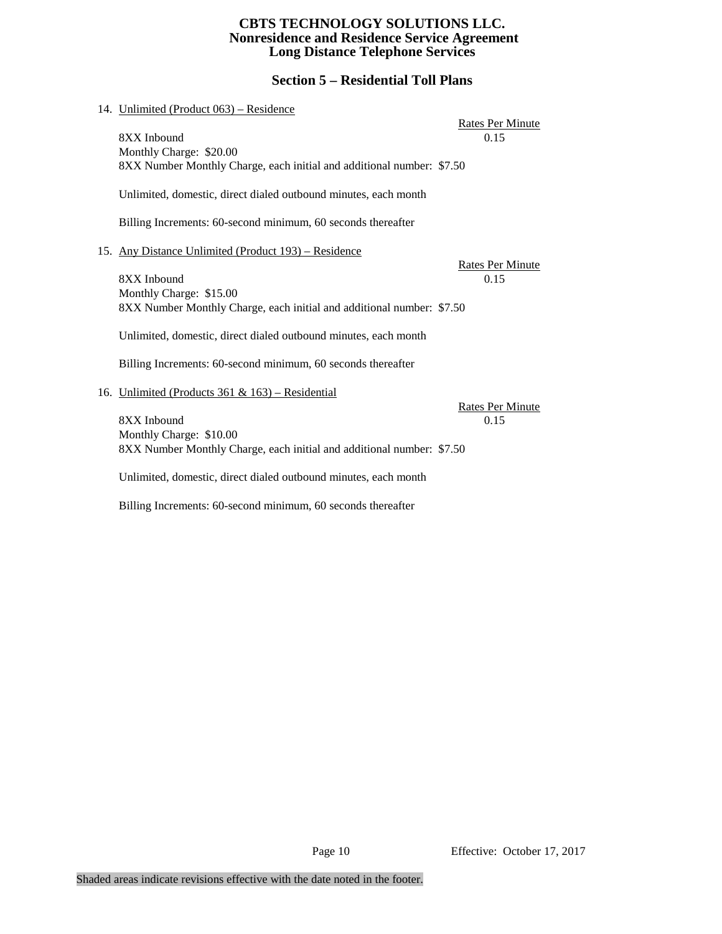# **Section 5 – Residential Toll Plans**

|     | 14. Unlimited (Product 063) – Residence                               |                          |
|-----|-----------------------------------------------------------------------|--------------------------|
|     | 8XX Inbound                                                           | Rates Per Minute         |
|     | Monthly Charge: \$20.00                                               | 0.15                     |
|     | 8XX Number Monthly Charge, each initial and additional number: \$7.50 |                          |
|     | Unlimited, domestic, direct dialed outbound minutes, each month       |                          |
|     | Billing Increments: 60-second minimum, 60 seconds thereafter          |                          |
| 15. | Any Distance Unlimited (Product 193) – Residence                      |                          |
|     |                                                                       | Rates Per Minute         |
|     | 8XX Inbound<br>Monthly Charge: \$15.00                                | 0.15                     |
|     | 8XX Number Monthly Charge, each initial and additional number: \$7.50 |                          |
|     | Unlimited, domestic, direct dialed outbound minutes, each month       |                          |
|     | Billing Increments: 60-second minimum, 60 seconds thereafter          |                          |
|     | 16. Unlimited (Products 361 & 163) – Residential                      |                          |
|     | 8XX Inbound                                                           | Rates Per Minute<br>0.15 |
|     | Monthly Charge: \$10.00                                               |                          |
|     | 8XX Number Monthly Charge, each initial and additional number: \$7.50 |                          |
|     | Unlimited, domestic, direct dialed outbound minutes, each month       |                          |
|     | Billing Increments: 60-second minimum, 60 seconds thereafter          |                          |